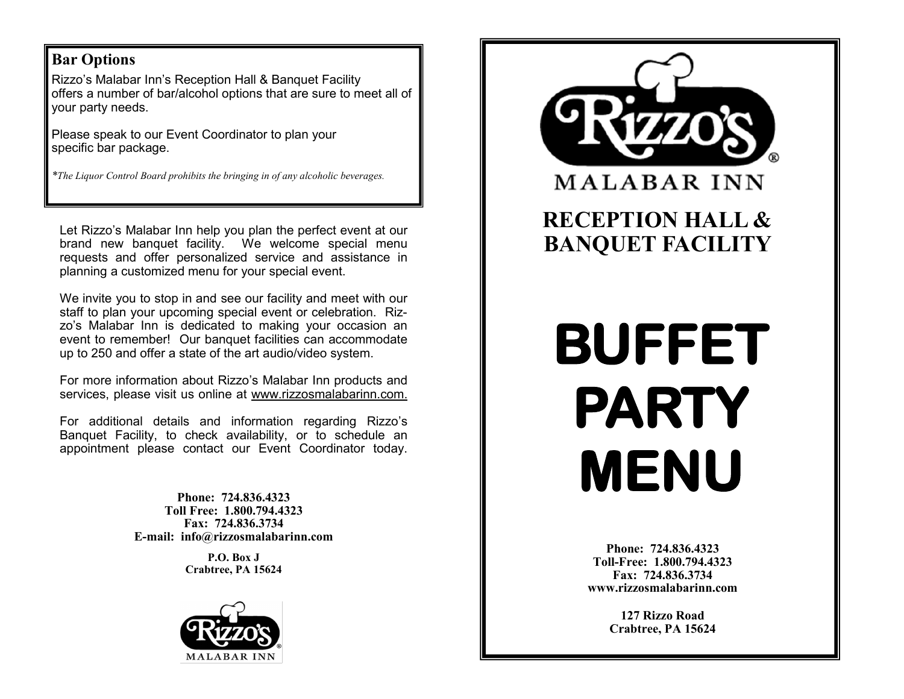## **Bar Options**

Rizzo's Malabar Inn's Reception Hall & Banquet Facility offers a number of bar/alcohol options that are sure to meet all of your party needs.

Please speak to our Event Coordinator to plan your specific bar package.

*\*The Liquor Control Board prohibits the bringing in of any alcoholic beverages.* 

Let Rizzo's Malabar Inn help you plan the perfect event at our brand new banquet facility. We welcome special menu requests and offer personalized service and assistance in planning a customized menu for your special event.

We invite you to stop in and see our facility and meet with our staff to plan your upcoming special event or celebration. Rizzo's Malabar Inn is dedicated to making your occasion an event to remember! Our banquet facilities can accommodate up to 250 and offer a state of the art audio/video system.

For more information about Rizzo's Malabar Inn products and services, please visit us online at www.rizzosmalabarinn.com.

For additional details and information regarding Rizzo's Banquet Facility, to check availability, or to schedule an appointment please contact our Event Coordinator today.

> **Phone: 724.836.4323 Toll Free: 1.800.794.4323 Fax: 724.836.3734 E-mail: info@rizzosmalabarinn.com**

> > **P.O. Box J Crabtree, PA 15624**





**Phone: 724.836.4323 Toll-Free: 1.800.794.4323 Fax: 724.836.3734 www.rizzosmalabarinn.com**

> **127 Rizzo Road Crabtree, PA 15624**